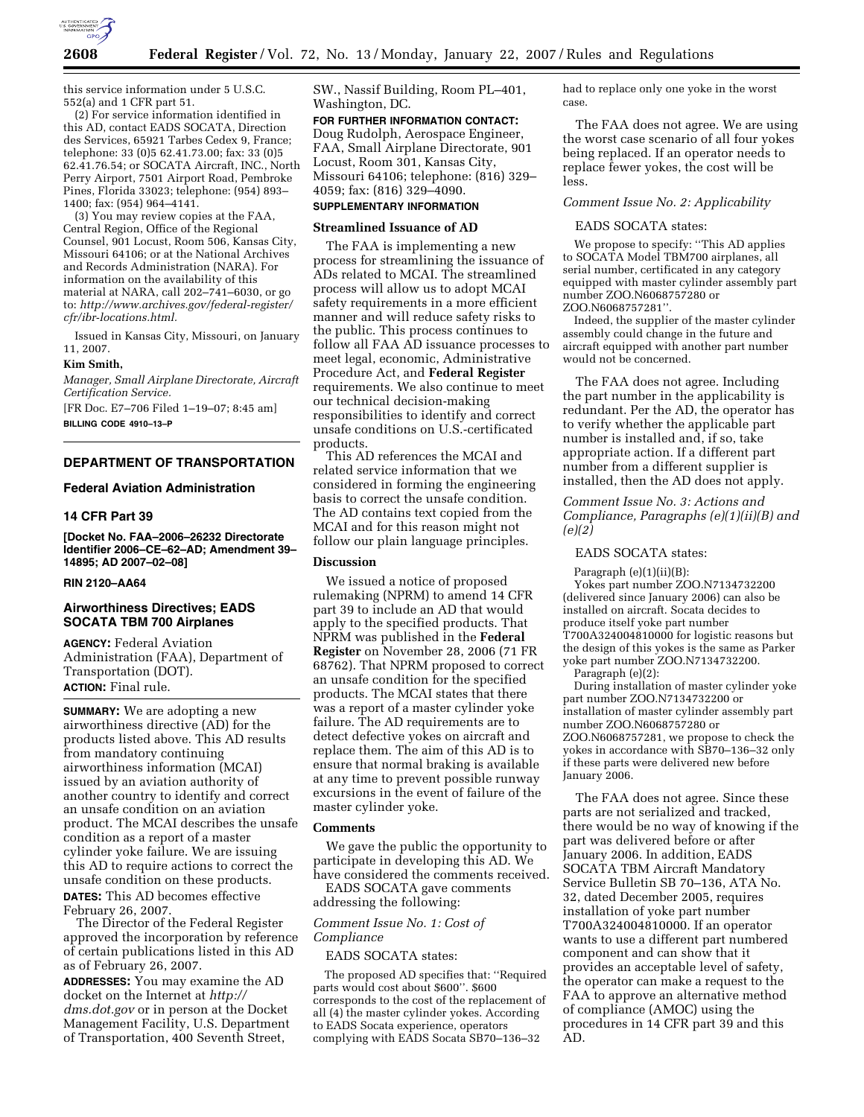

this service information under 5 U.S.C. 552(a) and 1 CFR part 51.

(2) For service information identified in this AD, contact EADS SOCATA, Direction des Services, 65921 Tarbes Cedex 9, France; telephone: 33 (0)5 62.41.73.00; fax: 33 (0)5 62.41.76.54; or SOCATA Aircraft, INC., North Perry Airport, 7501 Airport Road, Pembroke Pines, Florida 33023; telephone: (954) 893– 1400; fax: (954) 964–4141.

(3) You may review copies at the FAA, Central Region, Office of the Regional Counsel, 901 Locust, Room 506, Kansas City, Missouri 64106; or at the National Archives and Records Administration (NARA). For information on the availability of this material at NARA, call 202–741–6030, or go to: *http://www.archives.gov/federal-register/ cfr/ibr-locations.html.* 

Issued in Kansas City, Missouri, on January 11, 2007.

#### **Kim Smith,**

*Manager, Small Airplane Directorate, Aircraft Certification Service.* 

[FR Doc. E7–706 Filed 1–19–07; 8:45 am] **BILLING CODE 4910–13–P** 

## **DEPARTMENT OF TRANSPORTATION**

# **Federal Aviation Administration**

#### **14 CFR Part 39**

**[Docket No. FAA–2006–26232 Directorate Identifier 2006–CE–62–AD; Amendment 39– 14895; AD 2007–02–08]** 

# **RIN 2120–AA64**

## **Airworthiness Directives; EADS SOCATA TBM 700 Airplanes**

**AGENCY:** Federal Aviation Administration (FAA), Department of Transportation (DOT). **ACTION:** Final rule.

**SUMMARY:** We are adopting a new airworthiness directive (AD) for the products listed above. This AD results from mandatory continuing airworthiness information (MCAI) issued by an aviation authority of another country to identify and correct an unsafe condition on an aviation product. The MCAI describes the unsafe condition as a report of a master cylinder yoke failure. We are issuing this AD to require actions to correct the unsafe condition on these products. **DATES:** This AD becomes effective February 26, 2007.

The Director of the Federal Register approved the incorporation by reference of certain publications listed in this AD as of February 26, 2007.

**ADDRESSES:** You may examine the AD docket on the Internet at *http:// dms.dot.gov* or in person at the Docket Management Facility, U.S. Department of Transportation, 400 Seventh Street,

SW., Nassif Building, Room PL–401, Washington, DC.

# **FOR FURTHER INFORMATION CONTACT:**

Doug Rudolph, Aerospace Engineer, FAA, Small Airplane Directorate, 901 Locust, Room 301, Kansas City, Missouri 64106; telephone: (816) 329– 4059; fax: (816) 329–4090.

# **SUPPLEMENTARY INFORMATION**

## **Streamlined Issuance of AD**

The FAA is implementing a new process for streamlining the issuance of ADs related to MCAI. The streamlined process will allow us to adopt MCAI safety requirements in a more efficient manner and will reduce safety risks to the public. This process continues to follow all FAA AD issuance processes to meet legal, economic, Administrative Procedure Act, and **Federal Register**  requirements. We also continue to meet our technical decision-making responsibilities to identify and correct unsafe conditions on U.S.-certificated products.

This AD references the MCAI and related service information that we considered in forming the engineering basis to correct the unsafe condition. The AD contains text copied from the MCAI and for this reason might not follow our plain language principles.

### **Discussion**

We issued a notice of proposed rulemaking (NPRM) to amend 14 CFR part 39 to include an AD that would apply to the specified products. That NPRM was published in the **Federal Register** on November 28, 2006 (71 FR 68762). That NPRM proposed to correct an unsafe condition for the specified products. The MCAI states that there was a report of a master cylinder yoke failure. The AD requirements are to detect defective yokes on aircraft and replace them. The aim of this AD is to ensure that normal braking is available at any time to prevent possible runway excursions in the event of failure of the master cylinder yoke.

#### **Comments**

We gave the public the opportunity to participate in developing this AD. We have considered the comments received.

EADS SOCATA gave comments addressing the following:

## *Comment Issue No. 1: Cost of Compliance*

EADS SOCATA states:

The proposed AD specifies that: ''Required parts would cost about \$600''. \$600 corresponds to the cost of the replacement of all (4) the master cylinder yokes. According to EADS Socata experience, operators complying with EADS Socata SB70–136–32

had to replace only one yoke in the worst case.

The FAA does not agree. We are using the worst case scenario of all four yokes being replaced. If an operator needs to replace fewer yokes, the cost will be less.

# *Comment Issue No. 2: Applicability*

#### EADS SOCATA states:

We propose to specify: ''This AD applies to SOCATA Model TBM700 airplanes, all serial number, certificated in any category equipped with master cylinder assembly part number ZOO.N6068757280 or ZOO.N6068757281''.

Indeed, the supplier of the master cylinder assembly could change in the future and aircraft equipped with another part number would not be concerned.

The FAA does not agree. Including the part number in the applicability is redundant. Per the AD, the operator has to verify whether the applicable part number is installed and, if so, take appropriate action. If a different part number from a different supplier is installed, then the AD does not apply.

*Comment Issue No. 3: Actions and Compliance, Paragraphs (e)(1)(ii)(B) and (e)(2)* 

# EADS SOCATA states:

Paragraph (e)(1)(ii)(B):

Yokes part number ZOO.N7134732200 (delivered since January 2006) can also be installed on aircraft. Socata decides to produce itself yoke part number T700A324004810000 for logistic reasons but the design of this yokes is the same as Parker yoke part number ZOO.N7134732200.

Paragraph (e)(2):

During installation of master cylinder yoke part number ZOO.N7134732200 or installation of master cylinder assembly part number ZOO.N6068757280 or ZOO.N6068757281, we propose to check the yokes in accordance with SB70–136–32 only if these parts were delivered new before January 2006.

The FAA does not agree. Since these parts are not serialized and tracked, there would be no way of knowing if the part was delivered before or after January 2006. In addition, EADS SOCATA TBM Aircraft Mandatory Service Bulletin SB 70–136, ATA No. 32, dated December 2005, requires installation of yoke part number T700A324004810000. If an operator wants to use a different part numbered component and can show that it provides an acceptable level of safety, the operator can make a request to the FAA to approve an alternative method of compliance (AMOC) using the procedures in 14 CFR part 39 and this AD.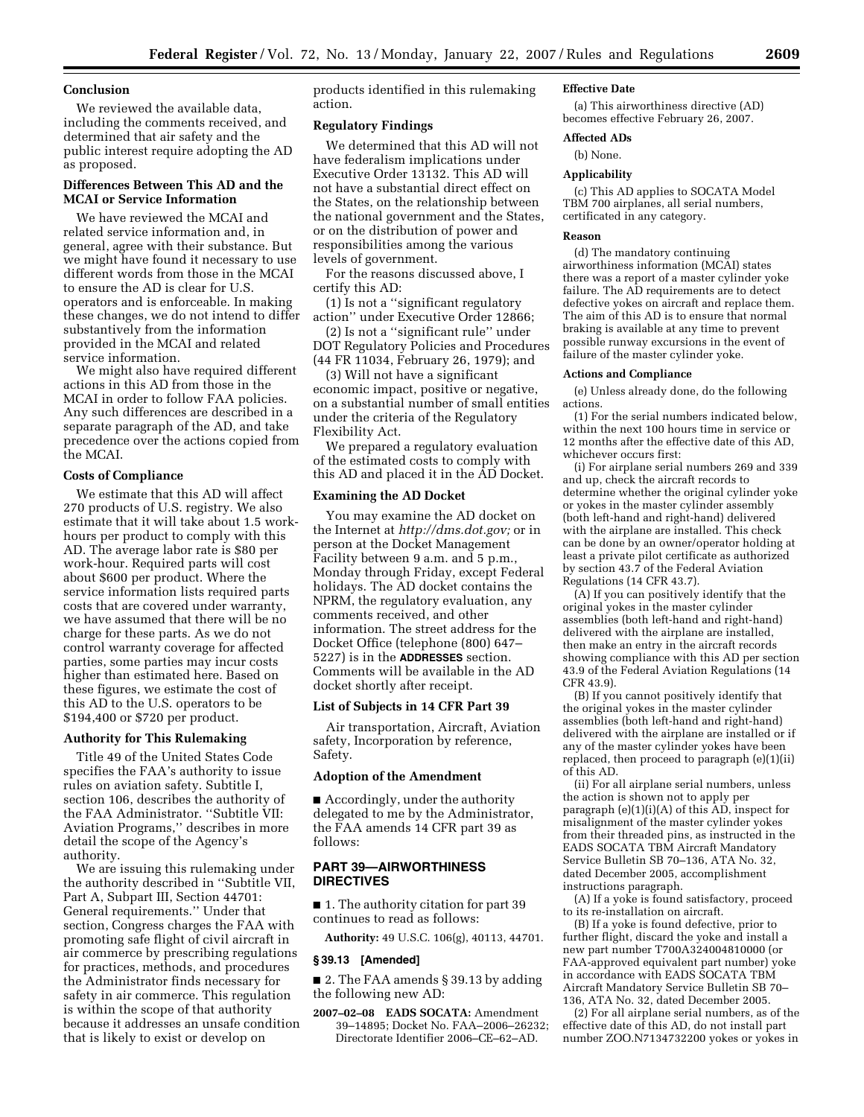### **Conclusion**

We reviewed the available data, including the comments received, and determined that air safety and the public interest require adopting the AD as proposed.

# **Differences Between This AD and the MCAI or Service Information**

We have reviewed the MCAI and related service information and, in general, agree with their substance. But we might have found it necessary to use different words from those in the MCAI to ensure the AD is clear for U.S. operators and is enforceable. In making these changes, we do not intend to differ substantively from the information provided in the MCAI and related service information.

We might also have required different actions in this AD from those in the MCAI in order to follow FAA policies. Any such differences are described in a separate paragraph of the AD, and take precedence over the actions copied from the MCAI.

#### **Costs of Compliance**

We estimate that this AD will affect 270 products of U.S. registry. We also estimate that it will take about 1.5 workhours per product to comply with this AD. The average labor rate is \$80 per work-hour. Required parts will cost about \$600 per product. Where the service information lists required parts costs that are covered under warranty, we have assumed that there will be no charge for these parts. As we do not control warranty coverage for affected parties, some parties may incur costs higher than estimated here. Based on these figures, we estimate the cost of this AD to the U.S. operators to be \$194,400 or \$720 per product.

## **Authority for This Rulemaking**

Title 49 of the United States Code specifies the FAA's authority to issue rules on aviation safety. Subtitle I, section 106, describes the authority of the FAA Administrator. ''Subtitle VII: Aviation Programs,'' describes in more detail the scope of the Agency's authority.

We are issuing this rulemaking under the authority described in ''Subtitle VII, Part A, Subpart III, Section 44701: General requirements.'' Under that section, Congress charges the FAA with promoting safe flight of civil aircraft in air commerce by prescribing regulations for practices, methods, and procedures the Administrator finds necessary for safety in air commerce. This regulation is within the scope of that authority because it addresses an unsafe condition that is likely to exist or develop on

products identified in this rulemaking action.

## **Regulatory Findings**

We determined that this AD will not have federalism implications under Executive Order 13132. This AD will not have a substantial direct effect on the States, on the relationship between the national government and the States, or on the distribution of power and responsibilities among the various levels of government.

For the reasons discussed above, I certify this AD:

(1) Is not a ''significant regulatory action'' under Executive Order 12866;

(2) Is not a ''significant rule'' under DOT Regulatory Policies and Procedures (44 FR 11034, February 26, 1979); and

(3) Will not have a significant economic impact, positive or negative, on a substantial number of small entities under the criteria of the Regulatory Flexibility Act.

We prepared a regulatory evaluation of the estimated costs to comply with this AD and placed it in the AD Docket.

# **Examining the AD Docket**

You may examine the AD docket on the Internet at *http://dms.dot.gov;* or in person at the Docket Management Facility between 9 a.m. and 5 p.m., Monday through Friday, except Federal holidays. The AD docket contains the NPRM, the regulatory evaluation, any comments received, and other information. The street address for the Docket Office (telephone (800) 647– 5227) is in the **ADDRESSES** section. Comments will be available in the AD docket shortly after receipt.

## **List of Subjects in 14 CFR Part 39**

Air transportation, Aircraft, Aviation safety, Incorporation by reference, Safety.

## **Adoption of the Amendment**

■ Accordingly, under the authority delegated to me by the Administrator, the FAA amends 14 CFR part 39 as follows:

## **PART 39—AIRWORTHINESS DIRECTIVES**

■ 1. The authority citation for part 39 continues to read as follows:

**Authority:** 49 U.S.C. 106(g), 40113, 44701.

# **§ 39.13 [Amended]**

■ 2. The FAA amends § 39.13 by adding the following new AD:

**2007–02–08 EADS SOCATA:** Amendment 39–14895; Docket No. FAA–2006–26232; Directorate Identifier 2006–CE–62–AD.

#### **Effective Date**

(a) This airworthiness directive (AD) becomes effective February 26, 2007.

**Affected ADs** 

#### (b) None.

#### **Applicability**

(c) This AD applies to SOCATA Model TBM 700 airplanes, all serial numbers, certificated in any category.

#### **Reason**

(d) The mandatory continuing airworthiness information (MCAI) states there was a report of a master cylinder yoke failure. The AD requirements are to detect defective yokes on aircraft and replace them. The aim of this AD is to ensure that normal braking is available at any time to prevent possible runway excursions in the event of failure of the master cylinder yoke.

#### **Actions and Compliance**

(e) Unless already done, do the following actions.

(1) For the serial numbers indicated below, within the next 100 hours time in service or 12 months after the effective date of this AD, whichever occurs first:

(i) For airplane serial numbers 269 and 339 and up, check the aircraft records to determine whether the original cylinder yoke or yokes in the master cylinder assembly (both left-hand and right-hand) delivered with the airplane are installed. This check can be done by an owner/operator holding at least a private pilot certificate as authorized by section 43.7 of the Federal Aviation Regulations (14 CFR 43.7).

(A) If you can positively identify that the original yokes in the master cylinder assemblies (both left-hand and right-hand) delivered with the airplane are installed, then make an entry in the aircraft records showing compliance with this AD per section 43.9 of the Federal Aviation Regulations (14 CFR 43.9).

(B) If you cannot positively identify that the original yokes in the master cylinder assemblies (both left-hand and right-hand) delivered with the airplane are installed or if any of the master cylinder yokes have been replaced, then proceed to paragraph (e)(1)(ii) of this AD.

(ii) For all airplane serial numbers, unless the action is shown not to apply per paragraph  $(e)(1)(i)(A)$  of this AD, inspect for misalignment of the master cylinder yokes from their threaded pins, as instructed in the EADS SOCATA TBM Aircraft Mandatory Service Bulletin SB 70–136, ATA No. 32, dated December 2005, accomplishment instructions paragraph.

(A) If a yoke is found satisfactory, proceed to its re-installation on aircraft.

(B) If a yoke is found defective, prior to further flight, discard the yoke and install a new part number T700A324004810000 (or FAA-approved equivalent part number) yoke in accordance with EADS SOCATA TBM Aircraft Mandatory Service Bulletin SB 70– 136, ATA No. 32, dated December 2005.

(2) For all airplane serial numbers, as of the effective date of this AD, do not install part number ZOO.N7134732200 yokes or yokes in